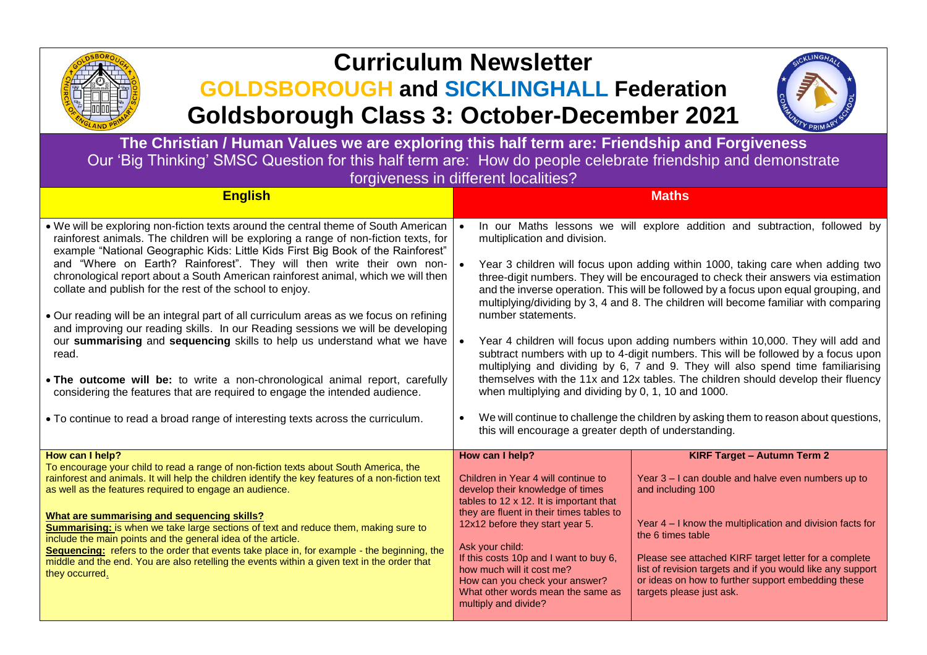

## **Curriculum Newsletter**

## **GOLDSBOROUGH and SICKLINGHALL Federation Goldsborough Class 3: October-December 2021**



**The Christian / Human Values we are exploring this half term are: Friendship and Forgiveness** Our 'Big Thinking' SMSC Question for this half term are: How do people celebrate friendship and demonstrate forgiveness in different localities?

| <b>English</b>                                                                                                                                                                                                                                                                                                                                                                                                                                                                                                                                                                                                                                                                                                                                                                                                                                                                                                                                                                                                | <b>Maths</b>                                                                                                                                                                                                                                                                                                                                                                                                                                                                                                                                                                                                                                                                                                                                                                                                                                                                                                                                                                                                                                                    |
|---------------------------------------------------------------------------------------------------------------------------------------------------------------------------------------------------------------------------------------------------------------------------------------------------------------------------------------------------------------------------------------------------------------------------------------------------------------------------------------------------------------------------------------------------------------------------------------------------------------------------------------------------------------------------------------------------------------------------------------------------------------------------------------------------------------------------------------------------------------------------------------------------------------------------------------------------------------------------------------------------------------|-----------------------------------------------------------------------------------------------------------------------------------------------------------------------------------------------------------------------------------------------------------------------------------------------------------------------------------------------------------------------------------------------------------------------------------------------------------------------------------------------------------------------------------------------------------------------------------------------------------------------------------------------------------------------------------------------------------------------------------------------------------------------------------------------------------------------------------------------------------------------------------------------------------------------------------------------------------------------------------------------------------------------------------------------------------------|
| . We will be exploring non-fiction texts around the central theme of South American<br>rainforest animals. The children will be exploring a range of non-fiction texts, for<br>example "National Geographic Kids: Little Kids First Big Book of the Rainforest"<br>and "Where on Earth? Rainforest". They will then write their own non-<br>chronological report about a South American rainforest animal, which we will then<br>collate and publish for the rest of the school to enjoy.<br>• Our reading will be an integral part of all curriculum areas as we focus on refining<br>and improving our reading skills. In our Reading sessions we will be developing<br>our summarising and sequencing skills to help us understand what we have<br>read.<br>. The outcome will be: to write a non-chronological animal report, carefully<br>considering the features that are required to engage the intended audience.<br>• To continue to read a broad range of interesting texts across the curriculum. | In our Maths lessons we will explore addition and subtraction, followed by<br>multiplication and division.<br>Year 3 children will focus upon adding within 1000, taking care when adding two<br>three-digit numbers. They will be encouraged to check their answers via estimation<br>and the inverse operation. This will be followed by a focus upon equal grouping, and<br>multiplying/dividing by 3, 4 and 8. The children will become familiar with comparing<br>number statements.<br>Year 4 children will focus upon adding numbers within 10,000. They will add and<br>subtract numbers with up to 4-digit numbers. This will be followed by a focus upon<br>multiplying and dividing by 6, 7 and 9. They will also spend time familiarising<br>themselves with the 11x and 12x tables. The children should develop their fluency<br>when multiplying and dividing by 0, 1, 10 and 1000.<br>We will continue to challenge the children by asking them to reason about questions,<br>$\bullet$<br>this will encourage a greater depth of understanding. |
| How can I help?<br>To encourage your child to read a range of non-fiction texts about South America, the<br>rainforest and animals. It will help the children identify the key features of a non-fiction text<br>as well as the features required to engage an audience.<br>What are summarising and sequencing skills?<br>Summarising: is when we take large sections of text and reduce them, making sure to<br>include the main points and the general idea of the article.<br>Sequencing: refers to the order that events take place in, for example - the beginning, the<br>middle and the end. You are also retelling the events within a given text in the order that<br>they occurred.                                                                                                                                                                                                                                                                                                                | How can I help?<br><b>KIRF Target - Autumn Term 2</b><br>Children in Year 4 will continue to<br>Year 3 - I can double and halve even numbers up to<br>develop their knowledge of times<br>and including 100<br>tables to 12 x 12. It is important that<br>they are fluent in their times tables to<br>Year 4 - I know the multiplication and division facts for<br>12x12 before they start year 5.<br>the 6 times table<br>Ask your child:<br>If this costs 10p and I want to buy 6,<br>Please see attached KIRF target letter for a complete<br>how much will it cost me?<br>list of revision targets and if you would like any support<br>How can you check your answer?<br>or ideas on how to further support embedding these<br>What other words mean the same as<br>targets please just ask.<br>multiply and divide?                                                                                                                                                                                                                                       |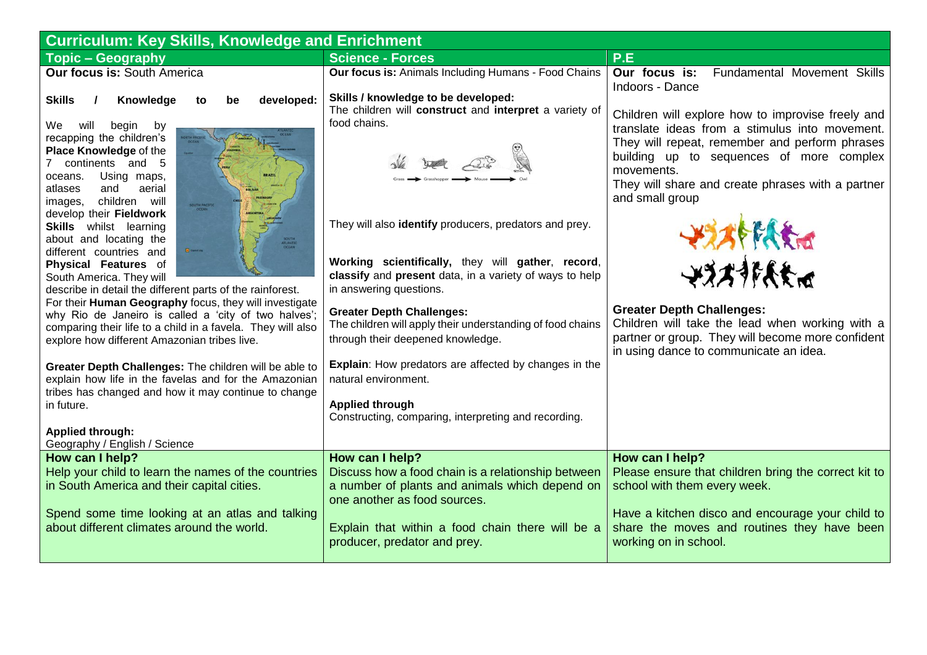| <b>Curriculum: Key Skills, Knowledge and Enrichment</b>                                                                                                                                                                                                                                                                                                                                                                                                                                                                                                                                                                                                                                                                                                                                                                                                                                                                                                                                                                     |                                                                                                                                                                                                                                                                                                                                                                                                                                                                                                                                                                                                                                     |                                                                                                                                                                                                                                                                                                                                                                                                                                                                                                 |  |  |
|-----------------------------------------------------------------------------------------------------------------------------------------------------------------------------------------------------------------------------------------------------------------------------------------------------------------------------------------------------------------------------------------------------------------------------------------------------------------------------------------------------------------------------------------------------------------------------------------------------------------------------------------------------------------------------------------------------------------------------------------------------------------------------------------------------------------------------------------------------------------------------------------------------------------------------------------------------------------------------------------------------------------------------|-------------------------------------------------------------------------------------------------------------------------------------------------------------------------------------------------------------------------------------------------------------------------------------------------------------------------------------------------------------------------------------------------------------------------------------------------------------------------------------------------------------------------------------------------------------------------------------------------------------------------------------|-------------------------------------------------------------------------------------------------------------------------------------------------------------------------------------------------------------------------------------------------------------------------------------------------------------------------------------------------------------------------------------------------------------------------------------------------------------------------------------------------|--|--|
| <b>Topic - Geography</b>                                                                                                                                                                                                                                                                                                                                                                                                                                                                                                                                                                                                                                                                                                                                                                                                                                                                                                                                                                                                    | <b>Science - Forces</b>                                                                                                                                                                                                                                                                                                                                                                                                                                                                                                                                                                                                             | P.E                                                                                                                                                                                                                                                                                                                                                                                                                                                                                             |  |  |
| <b>Our focus is: South America</b>                                                                                                                                                                                                                                                                                                                                                                                                                                                                                                                                                                                                                                                                                                                                                                                                                                                                                                                                                                                          | Our focus is: Animals Including Humans - Food Chains                                                                                                                                                                                                                                                                                                                                                                                                                                                                                                                                                                                | Our focus is:<br>Fundamental Movement Skills<br>Indoors - Dance                                                                                                                                                                                                                                                                                                                                                                                                                                 |  |  |
| developed:<br><b>Skills</b><br>Knowledge<br>$\overline{1}$<br>be<br>to<br>will<br>We.<br>begin<br>by<br>recapping the children's<br>Place Knowledge of the<br>7 continents and 5<br>Using maps,<br>oceans.<br>aerial<br>and<br>atlases<br>images, children will<br>SOUTH PACIFI<br>develop their Fieldwork<br><b>Skills</b> whilst learning<br>about and locating the<br><b>B</b> continu<br>different countries and<br>Physical Features of<br>South America. They will<br>describe in detail the different parts of the rainforest.<br>For their Human Geography focus, they will investigate<br>why Rio de Janeiro is called a 'city of two halves';<br>comparing their life to a child in a favela. They will also<br>explore how different Amazonian tribes live.<br>Greater Depth Challenges: The children will be able to<br>explain how life in the favelas and for the Amazonian<br>tribes has changed and how it may continue to change<br>in future.<br><b>Applied through:</b><br>Geography / English / Science | Skills / knowledge to be developed:<br>The children will construct and interpret a variety of<br>food chains.<br>They will also identify producers, predators and prey.<br>Working scientifically, they will gather, record,<br>classify and present data, in a variety of ways to help<br>in answering questions.<br><b>Greater Depth Challenges:</b><br>The children will apply their understanding of food chains<br>through their deepened knowledge.<br><b>Explain:</b> How predators are affected by changes in the<br>natural environment.<br><b>Applied through</b><br>Constructing, comparing, interpreting and recording. | Children will explore how to improvise freely and<br>translate ideas from a stimulus into movement.<br>They will repeat, remember and perform phrases<br>building up to sequences of more complex<br>movements.<br>They will share and create phrases with a partner<br>and small group<br>美术科技<br>やおおそんだ<br><b>Greater Depth Challenges:</b><br>Children will take the lead when working with a<br>partner or group. They will become more confident<br>in using dance to communicate an idea. |  |  |
| How can I help?                                                                                                                                                                                                                                                                                                                                                                                                                                                                                                                                                                                                                                                                                                                                                                                                                                                                                                                                                                                                             | How can I help?                                                                                                                                                                                                                                                                                                                                                                                                                                                                                                                                                                                                                     | How can I help?                                                                                                                                                                                                                                                                                                                                                                                                                                                                                 |  |  |
| Help your child to learn the names of the countries<br>in South America and their capital cities.                                                                                                                                                                                                                                                                                                                                                                                                                                                                                                                                                                                                                                                                                                                                                                                                                                                                                                                           | Discuss how a food chain is a relationship between<br>a number of plants and animals which depend on<br>one another as food sources.                                                                                                                                                                                                                                                                                                                                                                                                                                                                                                | Please ensure that children bring the correct kit to<br>school with them every week.                                                                                                                                                                                                                                                                                                                                                                                                            |  |  |
| Spend some time looking at an atlas and talking<br>about different climates around the world.                                                                                                                                                                                                                                                                                                                                                                                                                                                                                                                                                                                                                                                                                                                                                                                                                                                                                                                               | Explain that within a food chain there will be a<br>producer, predator and prey.                                                                                                                                                                                                                                                                                                                                                                                                                                                                                                                                                    | Have a kitchen disco and encourage your child to<br>share the moves and routines they have been<br>working on in school.                                                                                                                                                                                                                                                                                                                                                                        |  |  |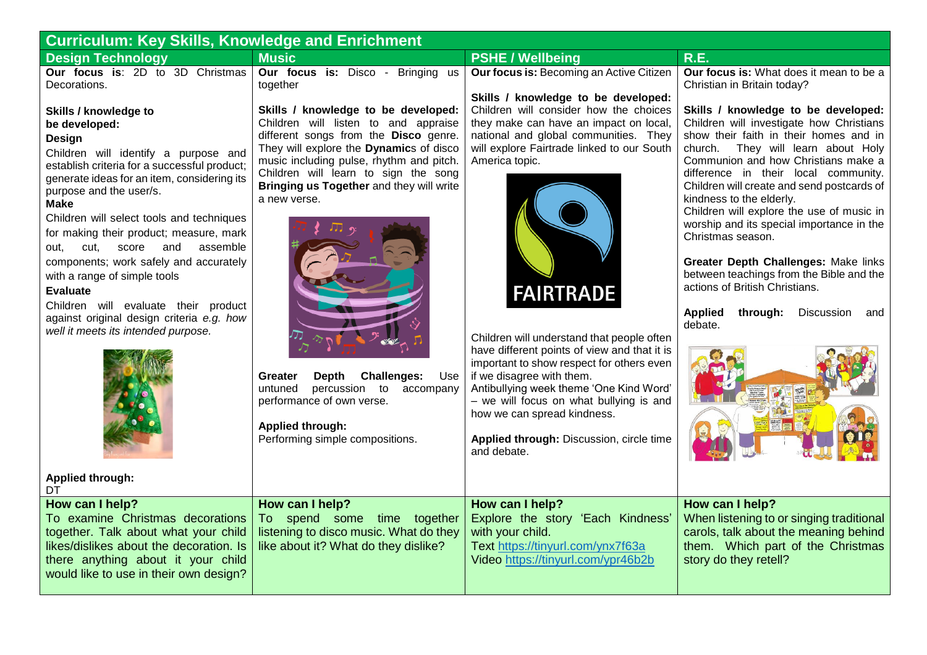| <b>Curriculum: Key Skills, Knowledge and Enrichment</b>                                                                                                                                                                                                                                                                                                                                                                                                                                             |                                                                                                                                                                                                                                                                                                                                                                  |                                                                                                                                                                                                                                                                                                                                                                          |                                                                                                                                                                                                                                                                                                                                                                                                                                                                                                                                                                                                                                         |  |
|-----------------------------------------------------------------------------------------------------------------------------------------------------------------------------------------------------------------------------------------------------------------------------------------------------------------------------------------------------------------------------------------------------------------------------------------------------------------------------------------------------|------------------------------------------------------------------------------------------------------------------------------------------------------------------------------------------------------------------------------------------------------------------------------------------------------------------------------------------------------------------|--------------------------------------------------------------------------------------------------------------------------------------------------------------------------------------------------------------------------------------------------------------------------------------------------------------------------------------------------------------------------|-----------------------------------------------------------------------------------------------------------------------------------------------------------------------------------------------------------------------------------------------------------------------------------------------------------------------------------------------------------------------------------------------------------------------------------------------------------------------------------------------------------------------------------------------------------------------------------------------------------------------------------------|--|
| <b>Design Technology</b>                                                                                                                                                                                                                                                                                                                                                                                                                                                                            | <b>Music</b>                                                                                                                                                                                                                                                                                                                                                     | <b>PSHE / Wellbeing</b>                                                                                                                                                                                                                                                                                                                                                  | <b>R.E.</b>                                                                                                                                                                                                                                                                                                                                                                                                                                                                                                                                                                                                                             |  |
| Our focus is: 2D to 3D Christmas<br>Decorations.<br>Skills / knowledge to<br>be developed:<br>Design<br>Children will identify a purpose and<br>establish criteria for a successful product;<br>generate ideas for an item, considering its<br>purpose and the user/s.<br><b>Make</b><br>Children will select tools and techniques<br>for making their product; measure, mark<br>and<br>assemble<br>out,<br>cut,<br>score<br>components; work safely and accurately<br>with a range of simple tools | Our focus is: Disco - Bringing us<br>together<br>Skills / knowledge to be developed:<br>Children will listen to and appraise<br>different songs from the Disco genre.<br>They will explore the Dynamics of disco<br>music including pulse, rhythm and pitch.<br>Children will learn to sign the song<br>Bringing us Together and they will write<br>a new verse. | Our focus is: Becoming an Active Citizen<br>Skills / knowledge to be developed:<br>Children will consider how the choices<br>they make can have an impact on local,<br>national and global communities. They<br>will explore Fairtrade linked to our South<br>America topic.                                                                                             | Our focus is: What does it mean to be a<br>Christian in Britain today?<br>Skills / knowledge to be developed:<br>Children will investigate how Christians<br>show their faith in their homes and in<br>church. They will learn about Holy<br>Communion and how Christians make a<br>difference in their local community.<br>Children will create and send postcards of<br>kindness to the elderly.<br>Children will explore the use of music in<br>worship and its special importance in the<br>Christmas season.<br>Greater Depth Challenges: Make links<br>between teachings from the Bible and the<br>actions of British Christians. |  |
| <b>Evaluate</b><br>Children will evaluate their product<br>against original design criteria e.g. how<br>well it meets its intended purpose.                                                                                                                                                                                                                                                                                                                                                         | <b>Challenges:</b><br><b>Depth</b><br>Use<br>Greater<br>percussion to<br>untuned<br>accompany<br>performance of own verse.<br>Applied through:<br>Performing simple compositions.                                                                                                                                                                                | <b>FAIRTRADE</b><br>Children will understand that people often<br>have different points of view and that it is<br>important to show respect for others even<br>if we disagree with them.<br>Antibullying week theme 'One Kind Word'<br>- we will focus on what bullying is and<br>how we can spread kindness.<br>Applied through: Discussion, circle time<br>and debate. | <b>Applied</b><br>Discussion<br>through:<br>and<br>debate.                                                                                                                                                                                                                                                                                                                                                                                                                                                                                                                                                                              |  |
| Applied through:<br>DT                                                                                                                                                                                                                                                                                                                                                                                                                                                                              |                                                                                                                                                                                                                                                                                                                                                                  |                                                                                                                                                                                                                                                                                                                                                                          |                                                                                                                                                                                                                                                                                                                                                                                                                                                                                                                                                                                                                                         |  |
| How can I help?<br>To examine Christmas decorations<br>together. Talk about what your child<br>likes/dislikes about the decoration. Is<br>there anything about it your child<br>would like to use in their own design?                                                                                                                                                                                                                                                                              | How can I help?<br>To spend some time together<br>listening to disco music. What do they<br>like about it? What do they dislike?                                                                                                                                                                                                                                 | How can I help?<br>Explore the story 'Each Kindness'<br>with your child.<br>Text https://tinyurl.com/ynx7f63a<br>Video https://tinyurl.com/ypr46b2b                                                                                                                                                                                                                      | How can I help?<br>When listening to or singing traditional<br>carols, talk about the meaning behind<br>them. Which part of the Christmas<br>story do they retell?                                                                                                                                                                                                                                                                                                                                                                                                                                                                      |  |